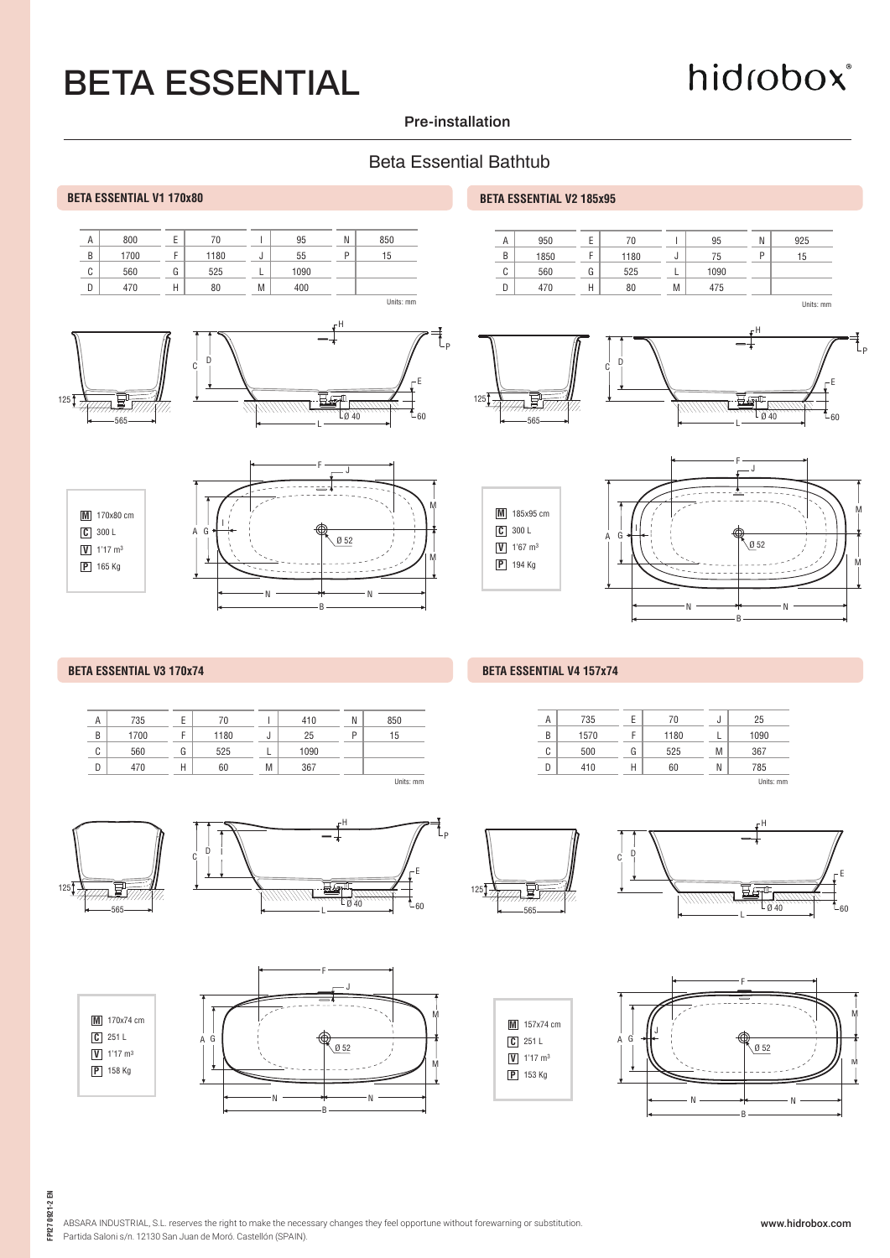# hidrobox®

#### **Pre-installation**

#### Beta Essential Bathtub



#### **BETA ESSENTIAL V3 170x74** BETA ESSENTIAL V4 157x74

|  | Α      | 735  | ь | 70   |    | 410  | N | 850         |
|--|--------|------|---|------|----|------|---|-------------|
|  | B      | 1700 |   | 1180 | J. | 25   | P | 15          |
|  | ◠<br>U | 560  | G | 525  |    | 1090 |   |             |
|  | D      | 470  | Н | 60   | M  | 367  |   |             |
|  |        |      |   |      |    |      |   | I Inits: mm |



**M** 170x74 cm

**V** 1'17 m3 **C** 251 L

**P** 158 Kg













| N<br>850<br>410<br>25<br>г<br>15<br>ы |  |  |  |
|---------------------------------------|--|--|--|
|                                       |  |  |  |
|                                       |  |  |  |

#### 735 1570 A B 70 1180 E F

| Α | 735  |   | 70   | υ | 25        |
|---|------|---|------|---|-----------|
| B | 1570 | F | 1180 |   | 1090      |
| С | 500  | G | 525  | M | 367       |
|   | 410  | Н | 60   | Ν | 785       |
|   |      |   |      |   | Units: mm |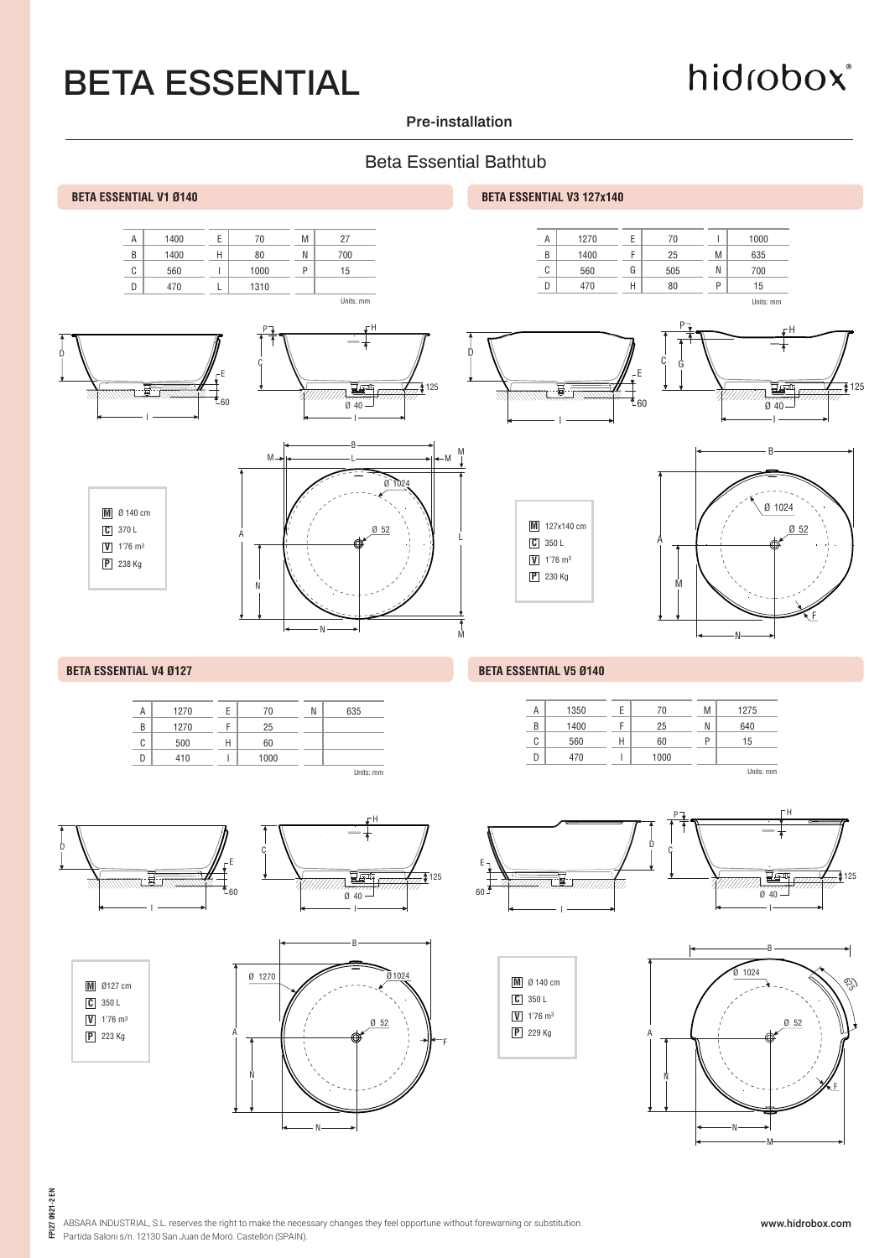## hidrobox®

#### **Pre-installation**

#### Beta Essential Bathtub













60 1000

H I



560 470

 $\overline{c}$  $\mathsf D$ 



Units: mm

15

P

FPI27 0921-2 EN **FPI27 0921-2 EN**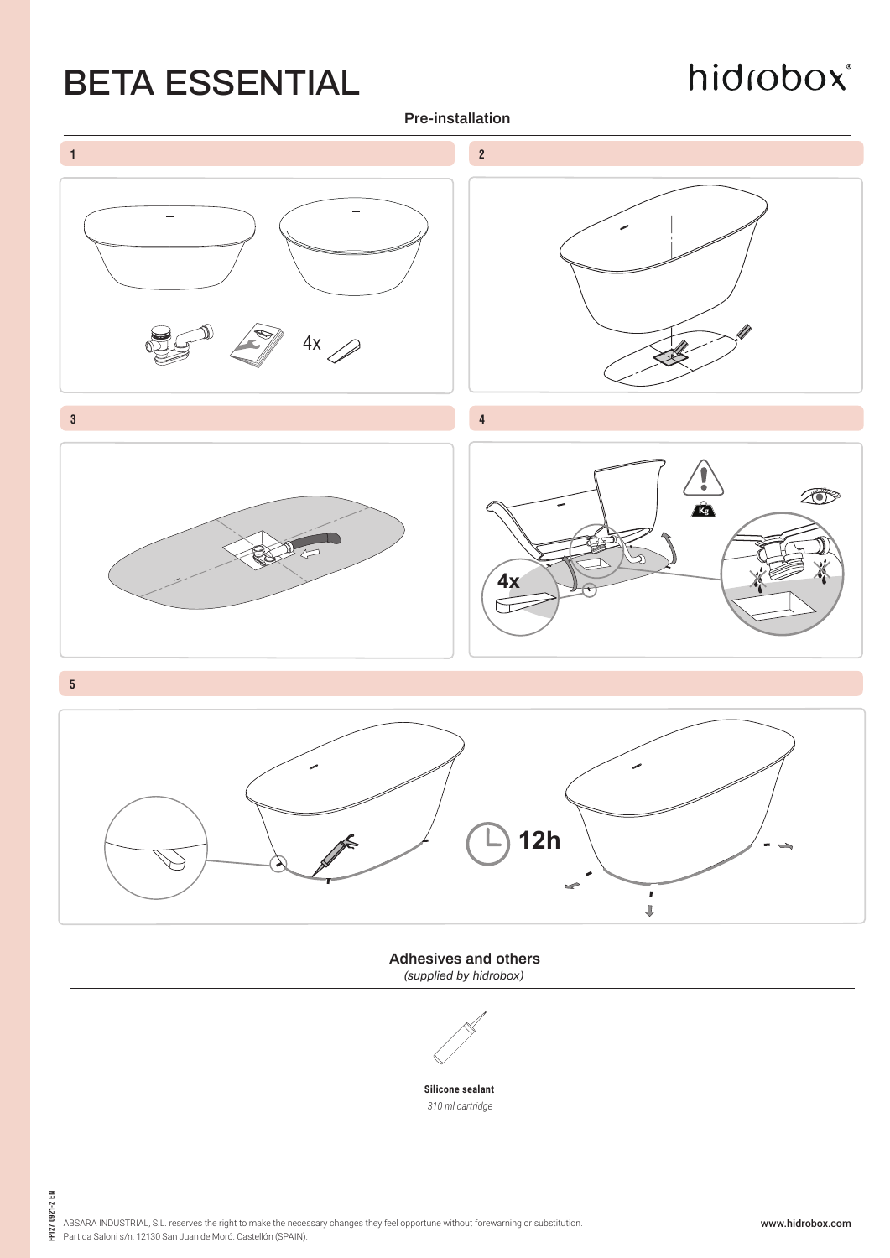## hidrobox®

**Pre-installation**



**Adhesives and others** *(supplied by hidrobox)*

**Silicone sealant** *310 ml cartridge*